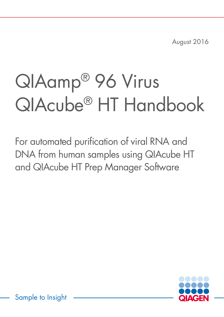August 2016

# QIAamp® 96 Virus QIAcube® HT Handbook

For automated purification of viral RNA and DNA from human samples using QIAcube HT and QIAcube HT Prep Manager Software



Sample to Insight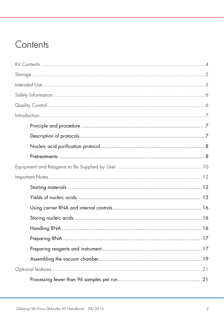## Contents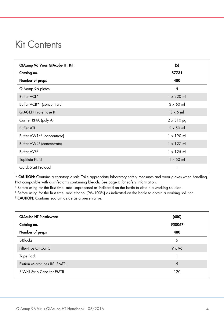## <span id="page-3-0"></span>Kit Contents

| QIAamp 96 Virus QIAcube HT Kit         | (5)               |
|----------------------------------------|-------------------|
| Catalog no.                            | 57731             |
| Number of preps                        | 480               |
| QIAamp 96 plates                       | 5                 |
| Buffer ACL*                            | $1 \times 220$ ml |
| Buffer ACB <sup>*†</sup> (concentrate) | $3 \times 60$ ml  |
| <b>QIAGEN Proteinase K</b>             | $3 \times 6$ m    |
| Carrier RNA (poly A)                   | $2 \times 310$ µg |
| <b>Buffer ATL</b>                      | $2 \times 50$ ml  |
| Buffer AW1 <sup>*†</sup> (concentrate) | $1 \times 190$ ml |
| Buffer AW2 <sup>‡</sup> (concentrate)  | $1 \times 127$ ml |
| Buffer AVE <sup>§</sup>                | $1 \times 125$ ml |
| TopElute Fluid                         | $1 \times 60$ ml  |
| Quick-Start Protocol                   |                   |

\* CAUTION: Contains a chaotropic salt. Take appropriate laboratory safety measures and wear gloves when handling. Not compatible with disinfectants containing bleach. See page [6](#page-5-0) for safety information.

† Before using for the first time, add isopropanol as indicated on the bottle to obtain a working solution.

‡ Before using for the first time, add ethanol (96–100%) as indicated on the bottle to obtain a working solution.

§ CAUTION: Contains sodium azide as a preservative.

| <b>QIAcube HT Plasticware</b><br>Catalog no. | (480)<br>950067 |
|----------------------------------------------|-----------------|
| Number of preps                              | 480             |
| S-Blocks                                     | 5               |
| Filter-Tips OnCor C                          | $9 \times 96$   |
| Tape Pad                                     |                 |
| Elution Microtubes RS (EMTR)                 | 5               |
| 8-Well Strip Caps for EMTR                   | 120             |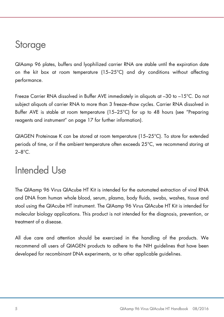## <span id="page-4-0"></span>**Storage**

QIAamp 96 plates, buffers and lyophilized carrier RNA are stable until the expiration date on the kit box at room temperature (15–25°C) and dry conditions without affecting performance.

Freeze Carrier RNA dissolved in Buffer AVE immediately in aliquots at –30 to –15°C. Do not subject aliquots of carrier RNA to more than 3 freeze–thaw cycles. Carrier RNA dissolved in Buffer AVE is stable at room temperature (15–25°C) for up to 48 hours (see ["Preparing](#page-16-1)  [reagents and instrument"](#page-16-1) on page [17](#page-16-1) for further information).

QIAGEN Proteinase K can be stored at room temperature (15–25°C). To store for extended periods of time, or if the ambient temperature often exceeds 25°C, we recommend storing at  $2 - 8^\circ C$ 

## <span id="page-4-1"></span>Intended Use

The QIAamp 96 Virus QIAcube HT Kit is intended for the automated extraction of viral RNA and DNA from human whole blood, serum, plasma, body fluids, swabs, washes, tissue and stool using the QIAcube HT instrument. The QIAamp 96 Virus QIAcube HT Kit is intended for molecular biology applications. This product is not intended for the diagnosis, prevention, or treatment of a disease.

All due care and attention should be exercised in the handling of the products. We recommend all users of QIAGEN products to adhere to the NIH guidelines that have been developed for recombinant DNA experiments, or to other applicable guidelines.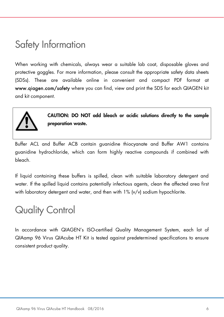## <span id="page-5-0"></span>Safety Information

When working with chemicals, always wear a suitable lab coat, disposable gloves and protective goggles. For more information, please consult the appropriate safety data sheets (SDSs). These are available online in convenient and compact PDF format at www.qiagen.com/safety where you can find, view and print the SDS for each QIAGEN kit and kit component.



CAUTION: DO NOT add bleach or acidic solutions directly to the sample preparation waste.

Buffer ACL and Buffer ACB contain guanidine thiocyanate and Buffer AW1 contains guanidine hydrochloride, which can form highly reactive compounds if combined with bleach.

If liquid containing these buffers is spilled, clean with suitable laboratory detergent and water. If the spilled liquid contains potentially infectious agents, clean the affected area first with laboratory detergent and water, and then with 1% (v/v) sodium hypochlorite.

## <span id="page-5-1"></span>Quality Control

In accordance with QIAGEN's ISO-certified Quality Management System, each lot of QIAamp 96 Virus QIAcube HT Kit is tested against predetermined specifications to ensure consistent product quality.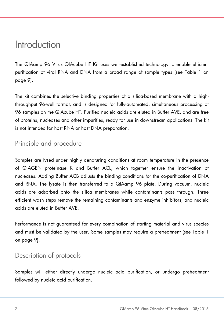## <span id="page-6-0"></span>Introduction

The QIAamp 96 Virus QIAcube HT Kit uses well-established technology to enable efficient purification of viral RNA and DNA from a broad range of sample types (see [Table 1](#page-8-0) on page [9\)](#page-8-0).

The kit combines the selective binding properties of a silica-based membrane with a highthroughput 96-well format, and is designed for fully-automated, simultaneous processing of 96 samples on the QIAcube HT. Purified nucleic acids are eluted in Buffer AVE, and are free of proteins, nucleases and other impurities, ready for use in downstream applications. The kit is not intended for host RNA or host DNA preparation.

## <span id="page-6-1"></span>Principle and procedure

Samples are lysed under highly denaturing conditions at room temperature in the presence of QIAGEN proteinase K and Buffer ACL, which together ensure the inactivation of nucleases. Adding Buffer ACB adjusts the binding conditions for the co-purification of DNA and RNA. The lysate is then transferred to a QIAamp 96 plate. During vacuum, nucleic acids are adsorbed onto the silica membranes while contaminants pass through. Three efficient wash steps remove the remaining contaminants and enzyme inhibitors, and nucleic acids are eluted in Buffer AVE.

Performance is not guaranteed for every combination of starting material and virus species and must be validated by the user. Some samples may require a pretreatment (see [Table 1](#page-8-0) on page [9\)](#page-8-0).

## <span id="page-6-2"></span>Description of protocols

Samples will either directly undergo nucleic acid purification, or undergo pretreatment followed by nucleic acid purification.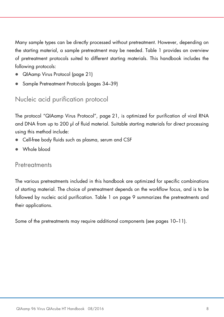Many sample types can be directly processed without pretreatment. However, depending on the starting material, a sample pretreatment may be needed. [Table 1](#page-8-0) provides an overview of pretreatment protocols suited to different starting materials. This handbook includes the following protocols:

- [QIAamp Virus Protocol](#page-21-0) (page [21\)](#page-20-0)
- [Sample Pretreatment Protocols](#page-33-0) (pages [34](#page-33-0)[–39\)](#page-38-0)

<span id="page-7-0"></span>Nucleic acid purification protocol

The protocol ["QIAamp Virus Protocol"](#page-21-0), page [21,](#page-20-0) is optimized for purification of viral RNA and DNA from up to 200 µl of fluid material. Suitable starting materials for direct processing using this method include:

- Cell-free body fluids such as plasma, serum and CSF
- Whole blood

## <span id="page-7-1"></span>Pretreatments

The various pretreatments included in this handbook are optimized for specific combinations of starting material. The choice of pretreatment depends on the workflow focus, and is to be followed by nucleic acid purification. [Table 1](#page-8-0) on page [9](#page-8-0) summarizes the pretreatments and their applications.

Some of the pretreatments may require additional components (see pages [10–](#page-9-1)[11\)](#page-10-0).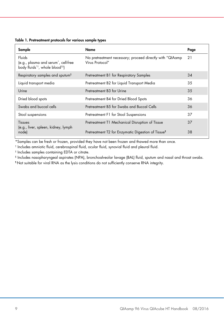<span id="page-8-0"></span>Table 1. Pretreatment protocols for various sample types

<span id="page-8-1"></span>

| Sample                                                                                                                | Name                                                                         | Page |
|-----------------------------------------------------------------------------------------------------------------------|------------------------------------------------------------------------------|------|
| Fluids<br>(e.g., plasma and serum <sup>*</sup> , cell-free<br>body fluids* <sup>†</sup> , whole blood <sup>†‡</sup> ) | No pretreatment necessary; proceed directly with "QIAamp"<br>Virus Protocol" | 21   |
| Respiratory samples and sputum <sup>§</sup>                                                                           | Pretreatment B1 for Respiratory Samples                                      | 34   |
| Liquid transport media                                                                                                | Pretreatment B2 for Liquid Transport Media                                   | 35   |
| Urine                                                                                                                 | Pretreatment B3 for Urine                                                    | 35   |
| Dried blood spots                                                                                                     | Pretreatment B4 for Dried Blood Spots                                        | 36   |
| Swabs and buccal cells                                                                                                | Pretreatment B5 for Swabs and Buccal Cells                                   | 36   |
| Stool suspensions                                                                                                     | Pretreatment F1 for Stool Suspensions                                        | 37   |
| <b>Tissues</b><br>(e.g., liver, spleen, kidney, lymph                                                                 | Pretreatment T1 Mechanical Disruption of Tissue                              | 37   |
| node)                                                                                                                 | Pretreatment T2 for Enzymatic Digestion of Tissue <sup>1</sup>               | 38   |

\*Samples can be fresh or frozen, provided they have not been frozen and thawed more than once.

† Includes amniotic fluid, cerebrospinal fluid, ocular fluid, synovial fluid and pleural fluid.

‡ Includes samples containing EDTA or citrate.

§ Includes nasopharyngeal aspirates (NPA), bronchoalveolar lavage (BAL) fluid, sputum and nasal and throat swabs.

¶ Not suitable for viral RNA as the lysis conditions do not sufficiently conserve RNA integrity.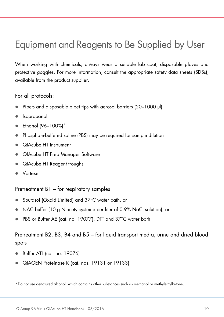## <span id="page-9-0"></span>Equipment and Reagents to Be Supplied by User

When working with chemicals, always wear a suitable lab coat, disposable gloves and protective goggles. For more information, consult the appropriate safety data sheets (SDSs), available from the product supplier.

For all protocols:

- Pipets and disposable pipet tips with aerosol barriers (20–1000 µl)
- Isopropanol
- Ethanol (96–100%)[\\*](#page-9-2)
- Phosphate-buffered saline (PBS) may be required for sample dilution
- QIAcube HT Instrument
- QIAcube HT Prep Manager Software
- QIAcube HT Reagent troughs
- <span id="page-9-1"></span>Vortexer

Pretreatment B1 – for respiratory samples

- Sputasol (Oxoid Limited) and 37°C water bath, or
- NAC buffer (10 g N-acetylcysteine per liter of 0.9% NaCl solution), or
- PBS or Buffer AE (cat. no. 19077), DTT and 37°C water bath

Pretreatment B2, B3, B4 and B5 – for liquid transport media, urine and dried blood spots

- Buffer ATL (cat. no. 19076)
- QIAGEN Proteinase K (cat. nos. 19131 or 19133)

<span id="page-9-2"></span>\*Do not use denatured alcohol, which contains other substances such as methanol or methylethylketone.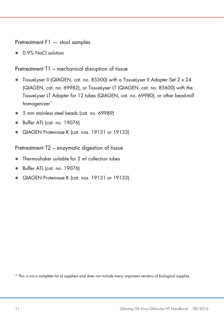Pretreatment F1 — stool samples

0.9% NaCl solution

Pretreatment T1 – mechanical disruption of tissue

- TissueLyser II (QIAGEN, cat. no. 85300) with a TissueLyser II Adapter Set 2 x 24 (QIAGEN, cat. no. 69982), or TissueLyser LT (QIAGEN, cat. no. 85600) with the TissueLyser LT Adapter for 12 tubes (QIAGEN, cat. no. 69980), or other bead-mill homogenizer<sup>[\\*](#page-10-1)</sup>
- 5 mm stainless steel beads (cat. no. 69989)
- Buffer ATL (cat. no. 19076)
- QIAGEN Proteinase K (cat. nos. 19131 or 19133)

<span id="page-10-0"></span>Pretreatment T2 – enzymatic digestion of tissue

- Thermoshaker suitable for 2 ml collection tubes
- Buffer ATL (cat. no. 19076)
- QIAGEN Proteinase K (cat. nos. 19131 or 19133)

<span id="page-10-1"></span>\* This is not a complete list of suppliers and does not include many important vendors of biological supplies.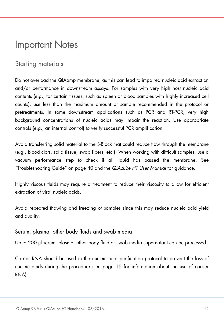## <span id="page-11-0"></span>Important Notes

## <span id="page-11-1"></span>Starting materials

Do not overload the QIAamp membrane, as this can lead to impaired nucleic acid extraction and/or performance in downstream assays. For samples with very high host nucleic acid contents (e.g., for certain tissues, such as spleen or blood samples with highly increased cell counts), use less than the maximum amount of sample recommended in the protocol or pretreatments. In some downstream applications such as PCR and RT-PCR, very high background concentrations of nucleic acids may impair the reaction. Use appropriate controls (e.g., an internal control) to verify successful PCR amplification.

Avoid transferring solid material to the S-Block that could reduce flow through the membrane (e.g., blood clots, solid tissue, swab fibers, etc.). When working with difficult samples, use a vacuum performance step to check if all liquid has passed the membrane. See ["Troubleshooting Guide"](#page-39-0) on pag[e 40](#page-39-0) and the *QIAcube HT User Manual* for guidance.

Highly viscous fluids may require a treatment to reduce their viscosity to allow for efficient extraction of viral nucleic acids.

Avoid repeated thawing and freezing of samples since this may reduce nucleic acid yield and quality.

Serum, plasma, other body fluids and swab media

Up to 200 µl serum, plasma, other body fluid or swab media supernatant can be processed.

Carrier RNA should be used in the nucleic acid purification protocol to prevent the loss of nucleic acids during the procedure (see page [16](#page-15-3) for information about the use of carrier RNA).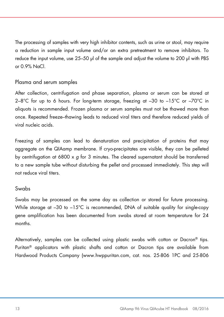The processing of samples with very high inhibitor contents, such as urine or stool, may require a reduction in sample input volume and/or an extra pretreatment to remove inhibitors. To reduce the input volume, use 25–50 µl of the sample and adjust the volume to 200 µl with PBS or 0.9% NaCl.

#### Plasma and serum samples

After collection, centrifugation and phase separation, plasma or serum can be stored at  $2-8^{\circ}$ C for up to 6 hours. For long-term storage, freezing at  $-30$  to  $-15^{\circ}$ C or  $-70^{\circ}$ C in aliquots is recommended. Frozen plasma or serum samples must not be thawed more than once. Repeated freeze–thawing leads to reduced viral titers and therefore reduced yields of viral nucleic acids.

Freezing of samples can lead to denaturation and precipitation of proteins that may aggregate on the QIAamp membrane. If cryo-precipitates are visible, they can be pelleted by centrifugation at 6800 x *g* for 3 minutes. The cleared supernatant should be transferred to a new sample tube without disturbing the pellet and processed immediately. This step will not reduce viral titers.

#### <span id="page-12-0"></span>Swabs

Swabs may be processed on the same day as collection or stored for future processing. While storage at -30 to -15°C is recommended, DNA of suitable quality for single-copy gene amplification has been documented from swabs stored at room temperature for 24 months.

Alternatively, samples can be collected using plastic swabs with cotton or Dacron® tips. Puritan® applicators with plastic shafts and cotton or Dacron tips are available from Hardwood Products Company (www.hwppuritan.com, cat. nos. 25-806 1PC and 25-806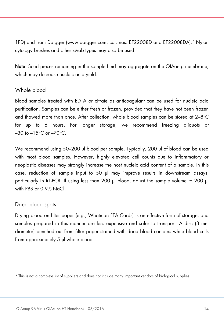1PD) and from Daigger (www.daigger.com, cat. nos. EF22008D and EF22008DA).[\\*](#page-13-0) Nylon cytology brushes and other swab types may also be used.

Note: Solid pieces remaining in the sample fluid may aggregate on the QIAamp membrane, which may decrease nucleic acid yield.

#### Whole blood

Blood samples treated with EDTA or citrate as anticoagulant can be used for nucleic acid purification. Samples can be either fresh or frozen, provided that they have not been frozen and thawed more than once. After collection, whole blood samples can be stored at 2–8°C for up to 6 hours. For longer storage, we recommend freezing aliquots at  $-30$  to  $-15^{\circ}$ C or  $-70^{\circ}$ C.

We recommend using 50–200 µl blood per sample. Typically, 200 µl of blood can be used with most blood samples. However, highly elevated cell counts due to inflammatory or neoplastic diseases may strongly increase the host nucleic acid content of a sample. In this case, reduction of sample input to 50 µl may improve results in downstream assays, particularly in RT-PCR. If using less than 200 µl blood, adjust the sample volume to 200 µl with PBS or 0.9% NaCl.

#### <span id="page-13-1"></span>Dried blood spots

Drying blood on filter paper (e.g., Whatman FTA Cards) is an effective form of storage, and samples prepared in this manner are less expensive and safer to transport. A disc (3 mm diameter) punched out from filter paper stained with dried blood contains white blood cells from approximately 5 µl whole blood.

<span id="page-13-0"></span><sup>\*</sup> This is not a complete list of suppliers and does not include many important vendors of biological supplies.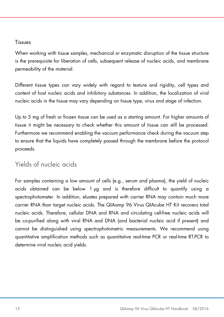#### Tissues

When working with tissue samples, mechanical or enzymatic disruption of the tissue structure is the prerequisite for liberation of cells, subsequent release of nucleic acids, and membrane permeability of the material.

Different tissue types can vary widely with regard to texture and rigidity, cell types and content of host nucleic acids and inhibitory substances. In addition, the localization of viral nucleic acids in the tissue may vary depending on tissue type, virus and stage of infection.

Up to 5 mg of fresh or frozen tissue can be used as a starting amount. For higher amounts of tissue it might be necessary to check whether this amount of tissue can still be processed. Furthermore we recommend enabling the vacuum performance check during the vacuum step to ensure that the liquids have completely passed through the membrane before the protocol proceeds.

## <span id="page-14-0"></span>Yields of nucleic acids

For samples containing a low amount of cells (e.g., serum and plasma), the yield of nucleic acids obtained can be below 1 µg and is therefore difficult to quantify using a spectrophotometer. In addition, eluates prepared with carrier RNA may contain much more carrier RNA than target nucleic acids. The QIAamp 96 Virus QIAcube HT Kit recovers total nucleic acids. Therefore, cellular DNA and RNA and circulating cell-free nucleic acids will be co-purified along with viral RNA and DNA (and bacterial nucleic acid if present) and cannot be distinguished using spectrophotometric measurements. We recommend using quantitative amplification methods such as quantitative real-time PCR or real-time RT-PCR to determine viral nucleic acid yields.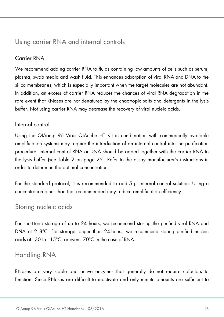## <span id="page-15-0"></span>Using carrier RNA and internal controls

### <span id="page-15-3"></span>Carrier RNA

We recommend adding carrier RNA to fluids containing low amounts of cells such as serum, plasma, swab media and wash fluid. This enhances adsorption of viral RNA and DNA to the silica membranes, which is especially important when the target molecules are not abundant. In addition, an excess of carrier RNA reduces the chances of viral RNA degradation in the rare event that RNases are not denatured by the chaotropic salts and detergents in the lysis buffer. Not using carrier RNA may decrease the recovery of viral nucleic acids.

### Internal control

Using the QIAamp 96 Virus QIAcube HT Kit in combination with commercially available amplification systems may require the introduction of an internal control into the purification procedure. Internal control RNA or DNA should be added together with the carrier RNA to the lysis buffer (see [Table 2](#page-25-0) on page [26\)](#page-25-1). Refer to the assay manufacturer's instructions in order to determine the optimal concentration.

For the standard protocol, it is recommended to add 5 µl internal control solution. Using a concentration other than that recommended may reduce amplification efficiency.

## <span id="page-15-1"></span>Storing nucleic acids

For short-term storage of up to 24 hours, we recommend storing the purified viral RNA and DNA at 2–8°C. For storage longer than 24 hours, we recommend storing purified nucleic acids at –30 to –15°C, or even –70°C in the case of RNA.

## <span id="page-15-2"></span>Handling RNA

RNases are very stable and active enzymes that generally do not require cofactors to function. Since RNases are difficult to inactivate and only minute amounts are sufficient to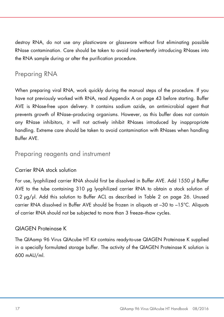destroy RNA, do not use any plasticware or glassware without first eliminating possible RNase contamination. Care should be taken to avoid inadvertently introducing RNases into the RNA sample during or after the purification procedure.

## <span id="page-16-0"></span>Preparing RNA

When preparing viral RNA, work quickly during the manual steps of the procedure. If you have not previously worked with RNA, read Appendix A on page [43](#page-42-0) before starting. Buffer AVE is RNase-free upon delivery. It contains sodium azide, an antimicrobial agent that prevents growth of RNase–producing organisms. However, as this buffer does not contain any RNase inhibitors, it will not actively inhibit RNases introduced by inappropriate handling. Extreme care should be taken to avoid contamination with RNases when handling Buffer AVE.

## <span id="page-16-1"></span>Preparing reagents and instrument

### Carrier RNA stock solution

For use, lyophilized carrier RNA should first be dissolved in Buffer AVE. Add 1550 µl Buffer AVE to the tube containing 310 µg lyophilized carrier RNA to obtain a stock solution of 0.2 µg/µl. Add this solution to Buffer ACL as described in [Table 2](#page-25-0) on page [26.](#page-25-1) Unused carrier RNA dissolved in Buffer AVE should be frozen in aliquots at –30 to –15°C. Aliquots of carrier RNA should not be subjected to more than 3 freeze–thaw cycles.

### QIAGEN Proteinase K

The QIAamp 96 Virus QIAcube HT Kit contains ready-to-use QIAGEN Proteinase K supplied in a specially formulated storage buffer. The activity of the QIAGEN Proteinase K solution is 600 mAU/ml.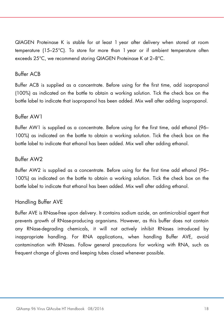QIAGEN Proteinase K is stable for at least 1 year after delivery when stored at room temperature (15–25°C). To store for more than 1 year or if ambient temperature often exceeds 25°C, we recommend storing QIAGEN Proteinase K at 2–8°C.

### Buffer ACB

Buffer ACB is supplied as a concentrate. Before using for the first time, add isopropanol (100%) as indicated on the bottle to obtain a working solution. Tick the check box on the bottle label to indicate that isopropanol has been added. Mix well after adding isopropanol.

#### Buffer AW1

Buffer AW1 is supplied as a concentrate. Before using for the first time, add ethanol (96– 100%) as indicated on the bottle to obtain a working solution. Tick the check box on the bottle label to indicate that ethanol has been added. Mix well after adding ethanol.

#### Buffer AW2

Buffer AW2 is supplied as a concentrate. Before using for the first time add ethanol (96– 100%) as indicated on the bottle to obtain a working solution. Tick the check box on the bottle label to indicate that ethanol has been added. Mix well after adding ethanol.

#### Handling Buffer AVE

Buffer AVE is RNase-free upon delivery. It contains sodium azide, an antimicrobial agent that prevents growth of RNase-producing organisms. However, as this buffer does not contain any RNase-degrading chemicals, it will not actively inhibit RNases introduced by inappropriate handling. For RNA applications, when handling Buffer AVE, avoid contamination with RNases. Follow general precautions for working with RNA, such as frequent change of gloves and keeping tubes closed whenever possible.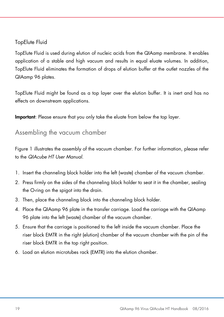### TopElute Fluid

TopElute Fluid is used during elution of nucleic acids from the QIAamp membrane. It enables application of a stable and high vacuum and results in equal eluate volumes. In addition, TopElute Fluid eliminates the formation of drops of elution buffer at the outlet nozzles of the QIAamp 96 plates.

TopElute Fluid might be found as a top layer over the elution buffer. It is inert and has no effects on downstream applications.

Important: Please ensure that you only take the eluate from below the top layer.

## <span id="page-18-0"></span>Assembling the vacuum chamber

Figure 1 illustrates the assembly of the vacuum chamber. For further information, please refer to the *QIAcube HT User Manual*.

- 1. Insert the channeling block holder into the left (waste) chamber of the vacuum chamber.
- 2. Press firmly on the sides of the channeling block holder to seat it in the chamber, sealing the O-ring on the spigot into the drain.
- 3. Then, place the channeling block into the channeling block holder.
- 4. Place the QIAamp 96 plate in the transfer carriage. Load the carriage with the QIAamp 96 plate into the left (waste) chamber of the vacuum chamber.
- 5. Ensure that the carriage is positioned to the left inside the vacuum chamber. Place the riser block EMTR in the right (elution) chamber of the vacuum chamber with the pin of the riser block EMTR in the top right position.
- 6. Load an elution microtubes rack (EMTR) into the elution chamber.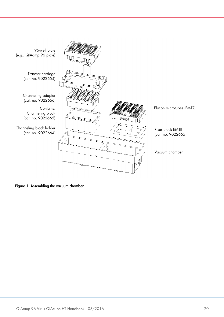

<span id="page-19-0"></span>Figure 1. Assembling the vacuum chamber.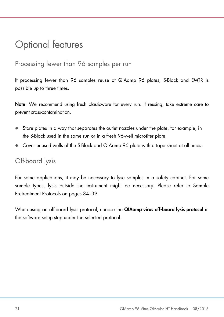## <span id="page-20-0"></span>Optional features

## <span id="page-20-1"></span>Processing fewer than 96 samples per run

If processing fewer than 96 samples reuse of QIAamp 96 plates, S-Block and EMTR is possible up to three times.

Note: We recommend using fresh plasticware for every run. If reusing, take extreme care to prevent cross-contamination.

- Store plates in a way that separates the outlet nozzles under the plate, for example, in the S-Block used in the same run or in a fresh 96-well microtiter plate.
- Cover unused wells of the S-Block and QIAamp 96 plate with a tape sheet at all times.

## <span id="page-20-2"></span>Off-board lysis

For some applications, it may be necessary to lyse samples in a safety cabinet. For some sample types, lysis outside the instrument might be necessary. Please refer to [Sample](#page-33-0)  [Pretreatment Protocols](#page-33-0) on pages [34](#page-33-0)[–39.](#page-38-0)

When using an off-board lysis protocol, choose the QIAamp virus off-board lysis protocol in the software setup step under the selected protocol.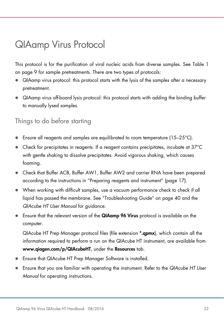## <span id="page-21-0"></span>QIAamp Virus Protocol

This protocol is for the purification of viral nucleic acids from diverse samples. See Table 1 on page [9](#page-8-1) for sample pretreatments. There are two types of protocols:

- QIAamp virus protocol: this protocol starts with the lysis of the samples after a necessary pretreatment.
- QIAamp virus off-board lysis protocol: this protocol starts with adding the binding buffer to manually lysed samples.

## <span id="page-21-1"></span>Things to do before starting

- **E** Ensure all reagents and samples are equilibrated to room temperature (15–25 $^{\circ}$ C).
- Check for precipitates in reagents. If a reagent contains precipitates, incubate at 37°C with gentle shaking to dissolve precipitates. Avoid vigorous shaking, which causes foaming.
- Check that Buffer ACB, Buffer AW1, Buffer AW2 and carrier RNA have been prepared according to the instructions in ["Preparing reagents and instrument"](#page-16-1) (page [17\)](#page-16-1).
- When working with difficult samples, use a vacuum performance check to check if all liquid has passed the membrane. See ["Troubleshooting Guide"](#page-39-0) on page [40](#page-39-0) and the *QIAcube HT User Manual* for guidance.
- **Ensure that the relevant version of the QIAamp 96 Virus** protocol is available on the computer.

QIAcube HT Prep Manager protocol files (file extension \*.qpmx), which contain all the information required to perform a run on the QIAcube HT instrument, are available from www.qiagen.com/p/QIAcubeHT, under the Resources tab.

- Ensure that QIAcube HT Prep Manager Software is installed.
- Ensure that you are familiar with operating the instrument. Refer to the *QIAcube HT User Manual* for operating instructions.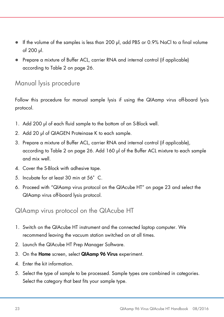- If the volume of the samples is less than 200 µl, add PBS or 0.9% NaCl to a final volume of 200 µl.
- Prepare a mixture of Buffer ACL, carrier RNA and internal control (if applicable) according to [Table 2](#page-25-0) on page [26.](#page-25-1)

## <span id="page-22-0"></span>Manual lysis procedure

Follow this procedure for manual sample lysis if using the QIAamp virus off-board lysis protocol.

- 1. Add 200 µl of each fluid sample to the bottom of an S-Block well.
- 2. Add 20 µl of QIAGEN Proteinase K to each sample.
- 3. Prepare a mixture of Buffer ACL, carrier RNA and internal control (if applicable), according to [Table 2](#page-25-0) on page [26.](#page-25-0) Add 160 µl of the Buffer ACL mixture to each sample and mix well.
- 4. Cover the S-Block with adhesive tape.
- 5. Incubate for at least 30 min at 56°C.
- 6. Proceed with ["QIAamp virus protocol on the QIAcube HT"](#page-22-1) on page [23](#page-22-1) and select the QIAamp virus off-board lysis protocol.

## <span id="page-22-1"></span>QIAamp virus protocol on the QIAcube HT

- 1. Switch on the QIAcube HT instrument and the connected laptop computer. We recommend leaving the vacuum station switched on at all times.
- 2. Launch the QIAcube HT Prep Manager Software.
- 3. On the Home screen, select QIAamp 96 Virus experiment.
- 4. Enter the kit information.
- 5. Select the type of sample to be processed. Sample types are combined in categories. Select the category that best fits your sample type.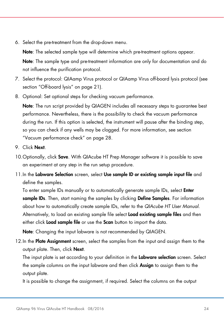6. Select the pre-treatment from the drop-down menu.

Note: The selected sample type will determine which pre-treatment options appear.

Note: The sample type and pre-treatment information are only for documentation and do not influence the purification protocol.

- 7. Select the protocol: QIAamp Virus protocol or QIAamp Virus off-board lysis protocol (see section ["Off-board lysis"](#page-20-2) on page [21\)](#page-20-2).
- 8. Optional: Set optional steps for checking vacuum performance.

Note: The run script provided by QIAGEN includes all necessary steps to guarantee best performance. Nevertheless, there is the possibility to check the vacuum performance during the run. If this option is selected, the instrument will pause after the binding step, so you can check if any wells may be clogged. For more information, see section ["Vacuum performance check"](#page-27-1) on page [28.](#page-27-1)

- 9. Click Next.
- 10. Optionally, click **Save**. With QIAcube HT Prep Manager software it is possible to save an experiment at any step in the run setup procedure.
- 11.In the Labware Selection screen, select Use sample ID or existing sample input file and define the samples.

To enter sample IDs manually or to automatically generate sample IDs, select **Enter** sample IDs. Then, start naming the samples by clicking Define Samples. For information about how to automatically create sample IDs, refer to the *QIAcube HT User Manual*. Alternatively, to load an existing sample file select **Load existing sample files** and then either click Load sample file or use the Scan button to import the data.

Note: Changing the input labware is not recommended by QIAGEN.

12.In the Plate Assignment screen, select the samples from the input and assign them to the output plate. Then, click **Next**.

The input plate is set according to your definition in the Labware selection screen. Select the sample columns on the input labware and then click Assign to assign them to the output plate.

It is possible to change the assignment, if required. Select the columns on the output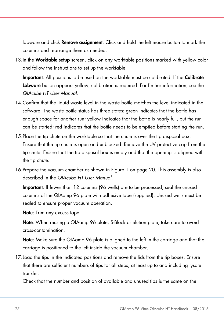labware and click **Remove assignment**. Click and hold the left mouse button to mark the columns and rearrange them as needed.

13. In the Worktable setup screen, click on any worktable positions marked with yellow color and follow the instructions to set up the worktable.

Important: All positions to be used on the worktable must be calibrated. If the Calibrate Labware button appears yellow, calibration is required. For further information, see the *QIAcube HT User Manual*.

- 14.Confirm that the liquid waste level in the waste bottle matches the level indicated in the software. The waste bottle status has three states: green indicates that the bottle has enough space for another run; yellow indicates that the bottle is nearly full, but the run can be started; red indicates that the bottle needs to be emptied before starting the run.
- 15.Place the tip chute on the worktable so that the chute is over the tip disposal box. Ensure that the tip chute is open and unblocked. Remove the UV protective cap from the tip chute. Ensure that the tip disposal box is empty and that the opening is aligned with the tip chute.
- 16.Prepare the vacuum chamber as shown in [Figure 1](#page-19-0) on page [20.](#page-19-0) This assembly is also described in the *QIAcube HT User Manual*.

Important: If fewer than 12 columns (96 wells) are to be processed, seal the unused columns of the QIAamp 96 plate with adhesive tape (supplied). Unused wells must be sealed to ensure proper vacuum operation.

Note: Trim any excess tape.

Note: When reusing a QIAamp 96 plate, S-Block or elution plate, take care to avoid cross-contamination.

Note: Make sure the QIAamp 96 plate is aligned to the left in the carriage and that the carriage is positioned to the left inside the vacuum chamber.

17.Load the tips in the indicated positions and remove the lids from the tip boxes. Ensure that there are sufficient numbers of tips for all steps, at least up to and including lysate transfer.

Check that the number and position of available and unused tips is the same on the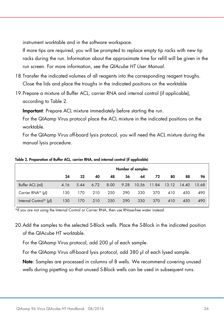instrument worktable and in the software workspace.

If more tips are required, you will be prompted to replace empty tip racks with new tip racks during the run. Information about the approximate time for refill will be given in the run screen. For more information, see the *QIAcube HT User Manual*.

- 18.Transfer the indicated volumes of all reagents into the corresponding reagent troughs. Close the lids and place the troughs in the indicated positions on the worktable
- 19.Prepare a mixture of Buffer ACL, carrier RNA and internal control (if applicable), according to [Table 2.](#page-25-0)

Important: Prepare ACL mixture immediately before starting the run.

For the QIAamp Virus protocol place the ACL mixture in the indicated positions on the worktable.

<span id="page-25-1"></span>For the QIAamp Virus off-board lysis protocol, you will need the ACL mixture during the manual lysis procedure.

|                        | Number of samples |      |      |      |      |       |       |       |       |       |
|------------------------|-------------------|------|------|------|------|-------|-------|-------|-------|-------|
|                        | 24                | 32   | 40   | 48   | 56   | 64    | 72    | 80    | 88    | 96    |
| Buffer ACL (ml)        | 4.16              | 5.44 | 6.72 | 8.00 | 9.28 | 10.56 | 11.84 | 13.12 | 14.40 | 15.68 |
| Carrier RNA* (µl)      | 130               | 170  | 210  | 250  | 290  | 330   | 370   | 410   | 450   | 490   |
| Internal Control* (µl) | 130               | 170  | 210  | 250  | 290  | 330   | 370   | 410   | 450   | 490   |

<span id="page-25-0"></span>Table 2. Preparation of Buffer ACL, carrier RNA, and internal control (if applicable)

\*If you are not using the Internal Control or Carrier RNA, then use RNase-free water instead.

20.Add the samples to the selected S-Block wells. Place the S-Block in the indicated position of the QIAcube HT worktable.

For the QIAamp Virus protocol, add 200 µl of each sample.

For the QIAamp Virus off-board lysis protocol, add 380 µl of each lysed sample.

Note: Samples are processed in columns of 8 wells. We recommend covering unused wells during pipetting so that unused S-Block wells can be used in subsequent runs.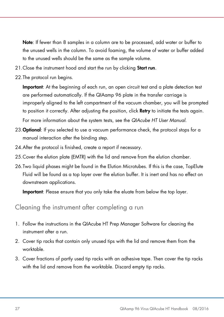Note: If fewer than 8 samples in a column are to be processed, add water or buffer to the unused wells in the column. To avoid foaming, the volume of water or buffer added to the unused wells should be the same as the sample volume.

- 21. Close the instrument hood and start the run by clicking **Start run**.
- 22.The protocol run begins.

Important: At the beginning of each run, an open circuit test and a plate detection test are performed automatically. If the QIAamp 96 plate in the transfer carriage is improperly aligned to the left compartment of the vacuum chamber, you will be prompted to position it correctly. After adjusting the position, click Retry to initiate the tests again. For more information about the system tests, see the *QIAcube HT User Manual*.

- 23. Optional: If you selected to use a vacuum performance check, the protocol stops for a manual interaction after the binding step.
- 24.After the protocol is finished, create a report if necessary.
- 25.Cover the elution plate (EMTR) with the lid and remove from the elution chamber.
- 26.Two liquid phases might be found in the Elution Microtubes. If this is the case, TopElute Fluid will be found as a top layer over the elution buffer. It is inert and has no effect on downstream applications.

Important: Please ensure that you only take the eluate from below the top layer.

## <span id="page-26-0"></span>Cleaning the instrument after completing a run

- 1. Follow the instructions in the QIAcube HT Prep Manager Software for cleaning the instrument after a run.
- 2. Cover tip racks that contain only unused tips with the lid and remove them from the worktable.
- 3. Cover fractions of partly used tip racks with an adhesive tape. Then cover the tip racks with the lid and remove from the worktable. Discard empty tip racks.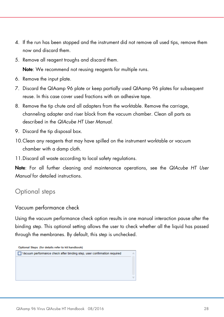- 4. If the run has been stopped and the instrument did not remove all used tips, remove them now and discard them.
- 5. Remove all reagent troughs and discard them.

Note: We recommend not reusing reagents for multiple runs.

- 6. Remove the input plate.
- 7. Discard the QIAamp 96 plate or keep partially used QIAamp 96 plates for subsequent reuse. In this case cover used fractions with an adhesive tape.
- 8. Remove the tip chute and all adapters from the worktable. Remove the carriage, channeling adapter and riser block from the vacuum chamber. Clean all parts as described in the *QIAcube HT User Manual*.
- 9. Discard the tip disposal box.
- 10.Clean any reagents that may have spilled on the instrument worktable or vacuum chamber with a damp cloth.
- 11.Discard all waste according to local safety regulations.

Note: For all further cleaning and maintenance operations, see the *QIAcube HT User Manual* for detailed instructions.

## <span id="page-27-0"></span>Optional steps

### <span id="page-27-1"></span>Vacuum performance check

Using the vacuum performance check option results in one manual interaction pause after the binding step. This optional setting allows the user to check whether all the liquid has passed through the membranes. By default, this step is unchecked.

Optional Steps (for details refer to kit handbook)

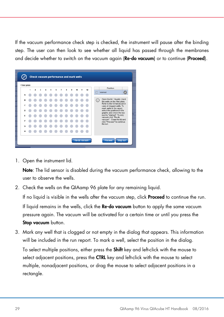If the vacuum performance check step is checked, the instrument will pause after the binding step. The user can then look to see whether all liquid has passed through the membranes and decide whether to switch on the vacuum again (Re-do vacuum) or to continue (Proceed).

| <b>Filter plate</b> |   |                          |                |   |   |                |   |   |    |    |    |         |                                                                                                                                                    |  |  |  |
|---------------------|---|--------------------------|----------------|---|---|----------------|---|---|----|----|----|---------|----------------------------------------------------------------------------------------------------------------------------------------------------|--|--|--|
|                     | 1 | $\overline{\phantom{a}}$ | $\overline{3}$ | 5 | 6 | $\overline{7}$ | R | 9 | 10 | 11 | 12 |         | Position                                                                                                                                           |  |  |  |
| А                   |   |                          |                |   |   |                |   |   |    |    |    |         | Marked                                                                                                                                             |  |  |  |
| B                   |   |                          |                |   |   |                |   |   |    |    |    | $\circ$ | Open the lid. Visually check<br>the wells on the filter plate.                                                                                     |  |  |  |
| c                   |   |                          |                |   |   |                |   |   |    |    |    |         | Refer to the kit handbook in<br>case of clogged wells. To<br>mark wells in the report,<br>select the positions in the<br>graphic and check the box |  |  |  |
| D                   |   |                          |                |   |   |                |   |   |    |    |    |         |                                                                                                                                                    |  |  |  |
| E                   |   |                          |                |   |   |                |   |   |    |    |    |         | next to "Marked". To retry<br>vacuum click "Re-do                                                                                                  |  |  |  |
| F                   |   |                          |                |   |   |                |   |   |    |    |    |         | vacuum" Close the lid and<br>click "Proceed" to continue<br>the run.                                                                               |  |  |  |
| G                   |   |                          |                |   |   |                |   |   |    |    |    |         |                                                                                                                                                    |  |  |  |
| н                   |   |                          |                |   |   |                |   |   |    |    |    |         |                                                                                                                                                    |  |  |  |

1. Open the instrument lid.

Note: The lid sensor is disabled during the vacuum performance check, allowing to the user to observe the wells.

2. Check the wells on the QIAamp 96 plate for any remaining liquid.

If no liquid is visible in the wells after the vacuum step, click **Proceed** to continue the run. If liquid remains in the wells, click the Re-do vacuum button to apply the same vacuum pressure again. The vacuum will be activated for a certain time or until you press the Stop vacuum button.

3. Mark any well that is clogged or not empty in the dialog that appears. This information will be included in the run report. To mark a well, select the position in the dialog. To select multiple positions, either press the **Shift** key and left-click with the mouse to select adjacent positions, press the CTRL key and left-click with the mouse to select multiple, nonadjacent positions, or drag the mouse to select adjacent positions in a rectangle.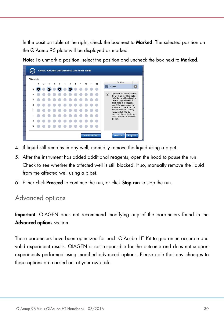In the position table at the right, check the box next to **Marked**. The selected position on the QIAamp 96 plate will be displayed as marked

Note: To unmark a position, select the position and uncheck the box next to Marked.



- 4. If liquid still remains in any well, manually remove the liquid using a pipet.
- 5. After the instrument has added additional reagents, open the hood to pause the run. Check to see whether the affected well is still blocked. If so, manually remove the liquid from the affected well using a pipet.
- 6. Either click Proceed to continue the run, or click Stop run to stop the run.

## <span id="page-29-0"></span>Advanced options

Important: QIAGEN does not recommend modifying any of the parameters found in the Advanced options section.

These parameters have been optimized for each QIAcube HT Kit to guarantee accurate and valid experiment results. QIAGEN is not responsible for the outcome and does not support experiments performed using modified advanced options. Please note that any changes to these options are carried out at your own risk.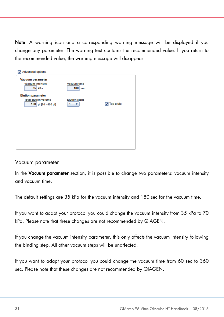Note: A warning icon and a corresponding warning message will be displayed if you change any parameter. The warning text contains the recommended value. If you return to the recommended value, the warning message will disappear.

| Advanced options<br>ы                                 |                                 |                                |
|-------------------------------------------------------|---------------------------------|--------------------------------|
| Vacuum parameter<br><b>Vacuum intensity</b><br>35 kPa | <b>Vacuum time</b><br>$180$ sec |                                |
| <b>Elution parameter</b>                              |                                 |                                |
| <b>Total elution volume</b>                           | <b>Elution steps</b>            |                                |
| 100 µl [90 - 400 µl]                                  | 1                               | $\boxed{\mathbf{v}}$ Top elute |
|                                                       |                                 |                                |
|                                                       |                                 |                                |
|                                                       |                                 |                                |
|                                                       |                                 |                                |
|                                                       |                                 |                                |
|                                                       |                                 |                                |
|                                                       |                                 |                                |
|                                                       |                                 |                                |
|                                                       |                                 |                                |

#### Vacuum parameter

In the Vacuum parameter section, it is possible to change two parameters: vacuum intensity and vacuum time.

The default settings are 35 kPa for the vacuum intensity and 180 sec for the vacuum time.

If you want to adapt your protocol you could change the vacuum intensity from 35 kPa to 70 kPa. Please note that these changes are not recommended by QIAGEN.

If you change the vacuum intensity parameter, this only affects the vacuum intensity following the binding step. All other vacuum steps will be unaffected.

If you want to adapt your protocol you could change the vacuum time from 60 sec to 360 sec. Please note that these changes are not recommended by QIAGEN.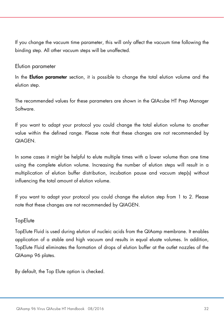If you change the vacuum time parameter, this will only affect the vacuum time following the binding step. All other vacuum steps will be unaffected.

#### Elution parameter

In the **Elution parameter** section, it is possible to change the total elution volume and the elution step.

The recommended values for these parameters are shown in the QIAcube HT Prep Manager Software.

If you want to adapt your protocol you could change the total elution volume to another value within the defined range. Please note that these changes are not recommended by QIAGEN.

In some cases it might be helpful to elute multiple times with a lower volume than one time using the complete elution volume. Increasing the number of elution steps will result in a multiplication of elution buffer distribution, incubation pause and vacuum step(s) without influencing the total amount of elution volume.

If you want to adapt your protocol you could change the elution step from 1 to 2. Please note that these changes are not recommended by QIAGEN.

### **TopElute**

TopElute Fluid is used during elution of nucleic acids from the QIAamp membrane. It enables application of a stable and high vacuum and results in equal eluate volumes. In addition, TopElute Fluid eliminates the formation of drops of elution buffer at the outlet nozzles of the QIAamp 96 plates.

By default, the Top Elute option is checked.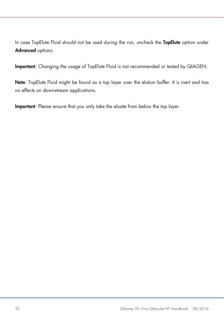In case TopElute Fluid should not be used during the run, uncheck the TopElute option under Advanced options.

Important: Changing the usage of TopElute Fluid is not recommended or tested by QIAGEN.

Note: TopElute Fluid might be found as a top layer over the elution buffer. It is inert and has no effects on downstream applications.

Important: Please ensure that you only take the eluate from below the top layer.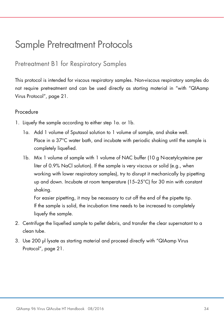## <span id="page-33-0"></span>Sample Pretreatment Protocols

<span id="page-33-1"></span>Pretreatment B1 for Respiratory Samples

This protocol is intended for viscous respiratory samples. Non-viscous respiratory samples do not require pretreatment and can be used directly as starting material in "with ["QIAamp](#page-21-0)  [Virus Protocol"](#page-21-0), page [21.](#page-20-0)

### Procedure

- 1. Liquefy the sample according to either step 1a. or 1b.
	- 1a. Add 1 volume of Sputasol solution to 1 volume of sample, and shake well. Place in a 37°C water bath, and incubate with periodic shaking until the sample is completely liquefied.
	- 1b. Mix 1 volume of sample with 1 volume of NAC buffer (10 g N-acetylcysteine per liter of 0.9% NaCl solution). If the sample is very viscous or solid (e.g., when working with lower respiratory samples), try to disrupt it mechanically by pipetting up and down. Incubate at room temperature (15–25°C) for 30 min with constant shaking.

For easier pipetting, it may be necessary to cut off the end of the pipette tip. If the sample is solid, the incubation time needs to be increased to completely liquefy the sample.

- 2. Centrifuge the liquefied sample to pellet debris, and transfer the clear supernatant to a clean tube.
- 3. Use 200 µl lysate as starting material and proceed directly with ["QIAamp Virus](#page-21-0)  [Protocol"](#page-21-0), page [21.](#page-20-0)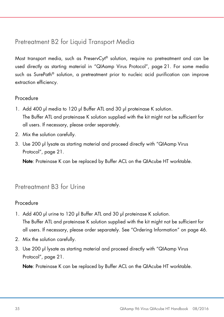## <span id="page-34-0"></span>Pretreatment B2 for Liquid Transport Media

Most transport media, such as PreservCyt® solution, require no pretreatment and can be used directly as starting material in ["QIAamp Virus Protocol"](#page-21-0), page [21.](#page-20-0) For some media such as SurePath® solution, a pretreatment prior to nucleic acid purification can improve extraction efficiency.

### Procedure

- 1. Add 400 µl media to 120 µl Buffer ATL and 30 µl proteinase K solution. The Buffer ATL and proteinase K solution supplied with the kit might not be sufficient for all users. If necessary, please order separately.
- 2. Mix the solution carefully.
- 3. Use 200 µl lysate as starting material and proceed directly with ["QIAamp Virus](#page-21-0)  [Protocol"](#page-21-0), page [21.](#page-20-0)

Note: Proteinase K can be replaced by Buffer ACL on the QIAcube HT worktable.

## <span id="page-34-1"></span>Pretreatment B3 for Urine

### Procedure

- 1. Add 400 µl urine to 120 µl Buffer ATL and 30 µl proteinase K solution. The Buffer ATL and proteinase K solution supplied with the kit might not be sufficient for all users. If necessary, please order separately. See ["Ordering Information"](#page-45-0) on page [46.](#page-45-0)
- 2. Mix the solution carefully.
- 3. Use 200 µl lysate as starting material and proceed directly with ["QIAamp Virus](#page-21-0)  [Protocol"](#page-21-0), page [21.](#page-20-0)

Note: Proteinase K can be replaced by Buffer ACL on the QIAcube HT worktable.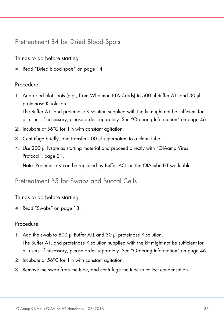<span id="page-35-0"></span>Pretreatment B4 for Dried Blood Spots

Things to do before starting

Read ["Dried blood spots"](#page-13-1) on page [14.](#page-13-1)

### Procedure

1. Add dried blot spots (e.g., from Whatman FTA Cards) to 500 µl Buffer ATL and 30 µl proteinase K solution.

The Buffer ATL and proteinase K solution supplied with the kit might not be sufficient for all users. If necessary, please order separately. See ["Ordering Information"](#page-45-0) on page [46.](#page-45-0)

- 2. Incubate at 56°C for 1 h with constant agitation.
- 3. Centrifuge briefly, and transfer 500 ul supernatant to a clean tube.
- 4. Use 200 µl lysate as starting material and proceed directly with ["QIAamp Virus](#page-21-0)  [Protocol"](#page-21-0), page [21.](#page-20-0)

Note: Proteinase K can be replaced by Buffer ACL on the QIAcube HT worktable.

## <span id="page-35-1"></span>Pretreatment B5 for Swabs and Buccal Cells

Things to do before starting

Read ["Swabs"](#page-12-0) on page [13.](#page-12-0)

### Procedure

1. Add the swab to 800 µl Buffer ATL and 30 µl proteinase K solution.

The Buffer ATL and proteinase K solution supplied with the kit might not be sufficient for all users. If necessary, please order separately. See ["Ordering Information"](#page-45-0) on page [46.](#page-45-0)

- 2. Incubate at 56°C for 1 h with constant agitation.
- 3. Remove the swab from the tube, and centrifuge the tube to collect condensation.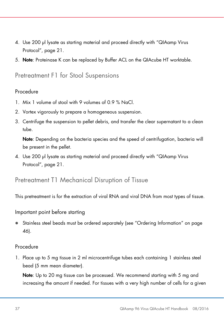- 4. Use 200 µl lysate as starting material and proceed directly with ["QIAamp Virus](#page-21-0)  [Protocol"](#page-21-0), page [21.](#page-20-0)
- 5. Note: Proteinase K can be replaced by Buffer ACL on the QIAcube HT worktable.

## <span id="page-36-0"></span>Pretreatment F1 for Stool Suspensions

### Procedure

- 1. Mix 1 volume of stool with 9 volumes of 0.9 % NaCl.
- 2. Vortex vigorously to prepare a homogeneous suspension.
- 3. Centrifuge the suspension to pellet debris, and transfer the clear supernatant to a clean tube.

Note: Depending on the bacteria species and the speed of centrifugation, bacteria will be present in the pellet.

4. Use 200 µl lysate as starting material and proceed directly with ["QIAamp Virus](#page-21-0)  [Protocol"](#page-21-0), page [21.](#page-20-0)

## <span id="page-36-1"></span>Pretreatment T1 Mechanical Disruption of Tissue

This pretreatment is for the extraction of viral RNA and viral DNA from most types of tissue.

#### Important point before starting

 Stainless steel beads must be ordered separately (see ["Ordering Information"](#page-45-0) on page [46\)](#page-45-0).

#### Procedure

1. Place up to 5 mg tissue in 2 ml microcentrifuge tubes each containing 1 stainless steel bead (5 mm mean diameter).

Note: Up to 20 mg tissue can be processed. We recommend starting with 5 mg and increasing the amount if needed. For tissues with a very high number of cells for a given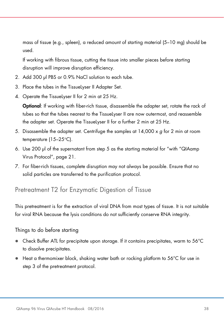mass of tissue (e.g., spleen), a reduced amount of starting material (5–10 mg) should be used.

If working with fibrous tissue, cutting the tissue into smaller pieces before starting disruption will improve disruption efficiency.

- 2. Add 300 µl PBS or 0.9% NaCl solution to each tube.
- 3. Place the tubes in the TissueLyser II Adapter Set.
- 4. Operate the TissueLyser II for 2 min at 25 Hz.

Optional: If working with fiber-rich tissue, disassemble the adapter set, rotate the rack of tubes so that the tubes nearest to the TissueLyser II are now outermost, and reassemble the adapter set. Operate the TissueLyser II for a further 2 min at 25 Hz.

- 5. Disassemble the adapter set. Centrifuge the samples at 14,000 x *g* for 2 min at room temperature (15–25°C).
- 6. Use 200 µl of the supernatant from step 5 as the starting material for "with ["QIAamp](#page-21-0)  [Virus Protocol"](#page-21-0), page [21.](#page-20-0)
- 7. For fiber-rich tissues, complete disruption may not always be possible. Ensure that no solid particles are transferred to the purification protocol.

## <span id="page-37-0"></span>Pretreatment T2 for Enzymatic Digestion of Tissue

This pretreatment is for the extraction of viral DNA from most types of tissue. It is not suitable for viral RNA because the lysis conditions do not sufficiently conserve RNA integrity.

#### Things to do before starting

- Check Buffer ATL for precipitate upon storage. If it contains precipitates, warm to 56°C to dissolve precipitates.
- Heat a thermomixer block, shaking water bath or rocking platform to 56°C for use in step 3 of the pretreatment protocol.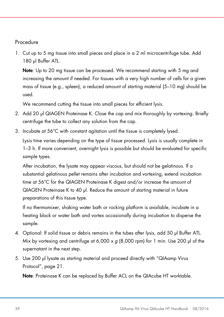### <span id="page-38-0"></span>Procedure

1. Cut up to 5 mg tissue into small pieces and place in a 2 ml microcentrifuge tube. Add 180 µl Buffer ATL.

Note: Up to 20 mg tissue can be processed. We recommend starting with 5 mg and increasing the amount if needed. For tissues with a very high number of cells for a given mass of tissue (e.g., spleen), a reduced amount of starting material (5–10 mg) should be used.

We recommend cutting the tissue into small pieces for efficient lysis.

- 2. Add 20 µl QIAGEN Proteinase K. Close the cap and mix thoroughly by vortexing. Briefly centrifuge the tube to collect any solution from the cap.
- 3. Incubate at 56°C with constant agitation until the tissue is completely lysed.

Lysis time varies depending on the type of tissue processed. Lysis is usually complete in 1–3 h. If more convenient, overnight lysis is possible but should be evaluated for specific sample types.

After incubation, the lysate may appear viscous, but should not be gelatinous. If a substantial gelatinous pellet remains after incubation and vortexing, extend incubation time at 56°C for the QIAGEN Proteinase K digest and/or increase the amount of QIAGEN Proteinase K to 40 µl. Reduce the amount of starting material in future preparations of this tissue type.

If no thermomixer, shaking water bath or rocking platform is available, incubate in a heating block or water bath and vortex occasionally during incubation to disperse the sample.

- 4. Optional: If solid tissue or debris remains in the tubes after lysis, add 50 µl Buffer ATL. Mix by vortexing and centrifuge at 6,000 x *g* (8,000 rpm) for 1 min. Use 200 µl of the supernatant in the next step.
- 5. Use 200 µl lysate as starting material and proceed directly with ["QIAamp Virus](#page-21-0)  [Protocol"](#page-21-0), page [21.](#page-20-0)

Note: Proteinase K can be replaced by Buffer ACL on the QIAcube HT worktable.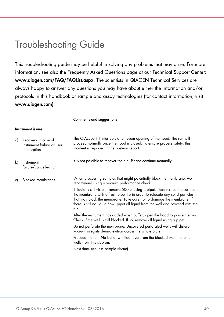## <span id="page-39-0"></span>Troubleshooting Guide

This troubleshooting guide may be helpful in solving any problems that may arise. For more information, see also the Frequently Asked Questions page at our Technical Support Center: www.qiagen.com/FAQ/FAQList.aspx. The scientists in QIAGEN Technical Services are always happy to answer any questions you may have about either the information and/or protocols in this handbook or sample and assay technologies (for contact information, visit www.qiagen.com).

Comments and suggestions

|    | <b>Instrument issues</b>                                          |                                                                                                                                                                                                                                                                                                                                            |
|----|-------------------------------------------------------------------|--------------------------------------------------------------------------------------------------------------------------------------------------------------------------------------------------------------------------------------------------------------------------------------------------------------------------------------------|
| a) | Recovery in case of<br>instrument failure or user<br>interruption | The QIAcube HT interrupts a run upon opening of the hood. The run will<br>proceed normally once the hood is closed. To ensure process safety, this<br>incident is reported in the post-run report.                                                                                                                                         |
| bì | Instrument<br>failure/cancelled run                               | It is not possible to recover the run. Please continue manually.                                                                                                                                                                                                                                                                           |
| c) | <b>Blocked membranes</b>                                          | When processing samples that might potentially block the membrane, we<br>recommend using a vacuum performance check.                                                                                                                                                                                                                       |
|    |                                                                   | If liquid is still visible, remove 500 µl using a pipet. Then scrape the surface of<br>the membrane with a fresh pipet tip in order to relocate any solid particles<br>that may block the membrane. Take care not to damage the membrane. If<br>there is still no liquid flow, pipet all liquid from the well and proceed with the<br>run. |
|    |                                                                   | After the instrument has added wash buffer, open the hood to pause the run.<br>Check if the well is still blocked. If so, remove all liquid using a pipet.                                                                                                                                                                                 |
|    |                                                                   | Do not perforate the membrane. Uncovered perforated wells will disturb<br>vacuum integrity during elution across the whole plate.                                                                                                                                                                                                          |
|    |                                                                   | Proceed the run. No buffer will float over from the blocked well into other<br>wells from this step on.                                                                                                                                                                                                                                    |
|    |                                                                   | Next time, use less sample (tissue).                                                                                                                                                                                                                                                                                                       |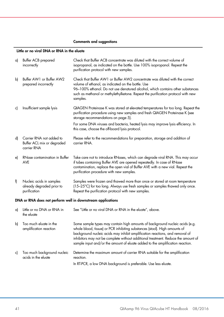#### Comments and suggestions

#### Little or no viral DNA or RNA in the eluate

| a) | Buffer ACB prepared<br>incorrectly                                    | Check that Buffer ACB concentrate was diluted with the correct volume of<br>isopropanol, as indicated on the bottle. Use 100% isopropanol. Repeat the<br>purification protocol with new samples.                                                                                                                                                                                                                 |
|----|-----------------------------------------------------------------------|------------------------------------------------------------------------------------------------------------------------------------------------------------------------------------------------------------------------------------------------------------------------------------------------------------------------------------------------------------------------------------------------------------------|
| b) | Buffer AW1 or Buffer AW2<br>prepared incorrectly                      | Check that Buffer AW1 or Buffer AW2 concentrate was diluted with the correct<br>volume of ethanol, as indicated on the bottle. Use<br>96-100% ethanol. Do not use denatured alcohol, which contains other substances<br>such as methanol or methylethylketone. Repeat the purification protocol with new<br>samples.                                                                                             |
| c) | Insufficient sample lysis                                             | QIAGEN Proteinase K was stored at elevated temperatures for too long. Repeat the<br>purification procedure using new samples and fresh QIAGEN Proteinase K (see<br>storage recommendations on page 5).                                                                                                                                                                                                           |
|    |                                                                       | For some DNA viruses and bacteria, heated lysis may improve lysis efficiency. In<br>this case, choose the off-board lysis protocol.                                                                                                                                                                                                                                                                              |
| d) | Carrier RNA not added to<br>Buffer ACL mix or degraded<br>carrier RNA | Please refer to the recommendations for preparation, storage and addition of<br>carrier RNA.                                                                                                                                                                                                                                                                                                                     |
| e) | RNase contamination in Buffer<br>AVE                                  | Take care not to introduce RNases, which can degrade viral RNA. This may occur<br>if tubes containing Buffer AVE are opened repeatedly. In case of RNase<br>contamination, replace the open vial of Buffer AVE with a new vial. Repeat the<br>purification procedure with new samples.                                                                                                                           |
| f) | Nucleic acids in samples<br>already degraded prior to<br>purification | Samples were frozen and thawed more than once or stored at room temperature<br>(15-25°C) for too long. Always use fresh samples or samples thawed only once.<br>Repeat the purification protocol with new samples.                                                                                                                                                                                               |
|    | DNA or RNA does not perform well in downstream applications           |                                                                                                                                                                                                                                                                                                                                                                                                                  |
| a) | Little or no DNA or RNA in<br>the eluate                              | See "Little or no viral DNA or RNA in the eluate", above.                                                                                                                                                                                                                                                                                                                                                        |
| b) | Too much eluate in the<br>amplification reaction                      | Some sample types may contain high amounts of background nucleic acids (e.g.<br>whole blood, tissue) or PCR inhibiting substances (stool). High amounts of<br>background nucleic acids may inhibit amplification reactions, and removal of<br>inhibitors may not be complete without additional treatment. Reduce the amount of<br>sample input and/or the amount of eluate added to the amplification reaction. |
| c) | Too much background nucleic<br>acids in the eluate                    | Determine the maximum amount of carrier RNA suitable for the amplification<br>reaction.                                                                                                                                                                                                                                                                                                                          |
|    |                                                                       | In RT-PCR, a low DNA background is preferable. Use less eluate.                                                                                                                                                                                                                                                                                                                                                  |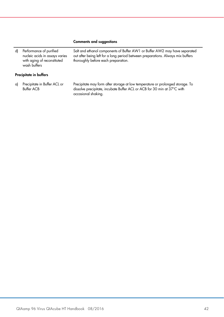#### Comments and suggestions

occasional shaking.

| d) | Performance of purified<br>nucleic acids in assays varies<br>with aging of reconstituted<br>wash buffers | Salt and ethanol components of Buffer AW1 or Buffer AW2 may have separated<br>out after being left for a long period between preparations. Always mix buffers<br>thoroughly before each preparation. |
|----|----------------------------------------------------------------------------------------------------------|------------------------------------------------------------------------------------------------------------------------------------------------------------------------------------------------------|
|    | Precipitate in buffers                                                                                   |                                                                                                                                                                                                      |
| a) | Precipitate in Buffer ACL or<br><b>Buffer ACB</b>                                                        | Precipitate may form after storage at low temperature or prolonged storage. To<br>dissolve precipitate, incubate Buffer ACL or ACB for 30 min at 37°C with                                           |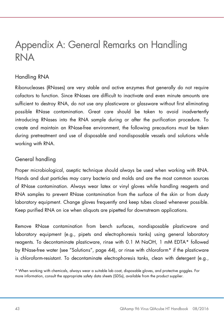## <span id="page-42-0"></span>Appendix A: General Remarks on Handling RNA

### Handling RNA

Ribonucleases (RNases) are very stable and active enzymes that generally do not require cofactors to function. Since RNases are difficult to inactivate and even minute amounts are sufficient to destroy RNA, do not use any plasticware or glassware without first eliminating possible RNase contamination. Great care should be taken to avoid inadvertently introducing RNases into the RNA sample during or after the purification procedure. To create and maintain an RNase-free environment, the following precautions must be taken during pretreatment and use of disposable and nondisposable vessels and solutions while working with RNA.

### General handling

Proper microbiological, aseptic technique should always be used when working with RNA. Hands and dust particles may carry bacteria and molds and are the most common sources of RNase contamination. Always wear latex or vinyl gloves while handling reagents and RNA samples to prevent RNase contamination from the surface of the skin or from dusty laboratory equipment. Change gloves frequently and keep tubes closed whenever possible. Keep purified RNA on ice when aliquots are pipetted for downstream applications.

Remove RNase contamination from bench surfaces, nondisposable plasticware and laboratory equipment (e.g., pipets and electrophoresis tanks) using general laboratory reagents. To decontaminate plasticware, rinse with 0.1 M NaOH, 1 mM EDTA[\\*](#page-42-1) followed by RNase-free water (see ["Solutions"](#page-43-0), page [44\)](#page-43-0), or rinse with chloroform\* if the plasticware is chloroform-resistant. To decontaminate electrophoresis tanks, clean with detergent (e.g.,

<span id="page-42-1"></span><sup>\*</sup> When working with chemicals, always wear a suitable lab coat, disposable gloves, and protective goggles. For more information, consult the appropriate safety data sheets (SDSs), available from the product supplier.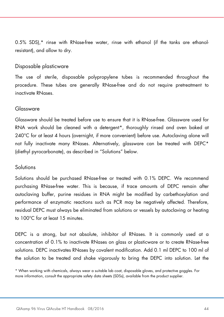0.5% SDS),\* rinse with RNase-free water, rinse with ethanol (if the tanks are ethanolresistant), and allow to dry.

#### Disposable plasticware

The use of sterile, disposable polypropylene tubes is recommended throughout the procedure. These tubes are generally RNase-free and do not require pretreatment to inactivate RNases.

#### Glassware

Glassware should be treated before use to ensure that it is RNase-free. Glassware used for RNA work should be cleaned with a detergent[\\*](#page-43-1), thoroughly rinsed and oven baked at 240°C for at least 4 hours (overnight, if more convenient) before use. Autoclaving alone will not fully inactivate many RNases. Alternatively, glassware can be treated with DEPC\* (diethyl pyrocarbonate), as described in ["Solutions"](#page-43-0) below.

#### <span id="page-43-0"></span>Solutions

Solutions should be purchased RNase-free or treated with 0.1% DEPC. We recommend purchasing RNase-free water. This is because, if trace amounts of DEPC remain after autoclaving buffer, purine residues in RNA might be modified by carbethoxylation and performance of enzymatic reactions such as PCR may be negatively affected. Therefore, residual DEPC must always be eliminated from solutions or vessels by autoclaving or heating to 100°C for at least 15 minutes.

DEPC is a strong, but not absolute, inhibitor of RNases. It is commonly used at a concentration of 0.1% to inactivate RNases on glass or plasticware or to create RNase-free solutions. DEPC inactivates RNases by covalent modification. Add 0.1 ml DEPC to 100 ml of the solution to be treated and shake vigorously to bring the DEPC into solution. Let the

<span id="page-43-1"></span><sup>\*</sup> When working with chemicals, always wear a suitable lab coat, disposable gloves, and protective goggles. For more information, consult the appropriate safety data sheets (SDSs), available from the product supplier.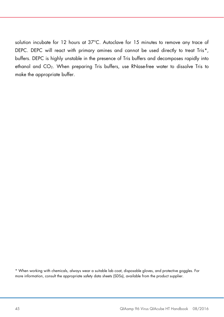solution incubate for 12 hours at 37°C. Autoclave for 15 minutes to remove any trace of DEPC. DEPC will react with primary amines and cannot be used directly to treat Tris\*, buffers. DEPC is highly unstable in the presence of Tris buffers and decomposes rapidly into ethanol and CO<sub>2</sub>. When preparing Tris buffers, use RNase-free water to dissolve Tris to make the appropriate buffer.

<span id="page-44-0"></span><sup>\*</sup> When working with chemicals, always wear a suitable lab coat, disposable gloves, and protective goggles. For more information, consult the appropriate safety data sheets (SDSs), available from the product supplier.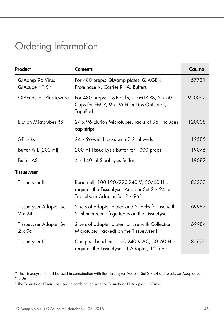## <span id="page-45-0"></span>Ordering Information

| Product                                  | <b>Contents</b>                                                                                                                          | Cat. no. |
|------------------------------------------|------------------------------------------------------------------------------------------------------------------------------------------|----------|
| QlAamp 96 Virus<br>QIAcube HT Kit        | For 480 preps: QIAamp plates, QIAGEN<br>Proteinase K, Carrier RNA, Buffers                                                               | 57731    |
| <b>QIAcube HT Plasticware</b>            | For 480 preps: 5 S-Blocks, 5 EMTR RS, $2 \times 50$<br>Caps for EMTR, 9 x 96 Filter-Tips OnCor C,<br><b>TapePad</b>                      | 950067   |
| <b>Elution Microtubes RS</b>             | 24 x 96 Elution Microtubes, racks of 96; includes<br>cap strips                                                                          | 120008   |
| S-Blocks                                 | 24 x 96-well blocks with 2.2 ml wells                                                                                                    | 19585    |
| Buffer ATL (200 ml)                      | 200 ml Tissue Lysis Buffer for 1000 preps                                                                                                | 19076    |
| <b>Buffer ASL</b>                        | 4 x 140 ml Stool Lysis Buffer                                                                                                            | 19082    |
| TissueLyser                              |                                                                                                                                          |          |
| TissueLyser II                           | Bead mill, 100-120/220-240 V, 50/60 Hz;<br>requires the Tissuelyser Adapter Set 2 x 24 or<br>TissueLyser Adapter Set 2 x 96 <sup>*</sup> | 85300    |
| TissueLyser Adapter Set<br>$2 \times 24$ | 2 sets of adapter plates and 2 racks for use with<br>2 ml microcentrifuge tubes on the TissueLyser II                                    | 69982    |
| TissueLyser Adapter Set<br>$2 \times 96$ | 2 sets of adapter plates for use with Collection<br>Microtubes (racked) on the TissueLyser II                                            | 69984    |
| TissueLyser LT                           | Compact bead mill, 100-240 V AC, 50-60 Hz;<br>requires the Tissuelyser LT Adapter, 12-Tube <sup>t</sup>                                  | 85600    |

<span id="page-45-2"></span>† The TissueLyser LT must be used in combination with the TissueLyser LT Adapter, 12-Tube.

<span id="page-45-1"></span><sup>\*</sup> The TissueLyser II must be used in combination with the TissueLyser Adapter Set 2 x 24 or TissueLyser Adapter Set 2 x 96.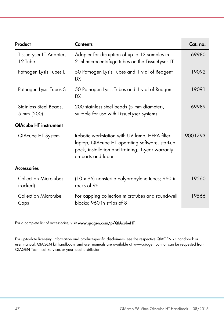| Product                              | <b>Contents</b>                                                                                                                                                             | Cat. no. |  |  |
|--------------------------------------|-----------------------------------------------------------------------------------------------------------------------------------------------------------------------------|----------|--|--|
| TissueLyser LT Adapter,<br>12-Tube   | Adapter for disruption of up to 12 samples in<br>2 ml microcentrifuge tubes on the Tissuelyser LT                                                                           | 69980    |  |  |
| Pathogen Lysis Tubes L               | 50 Pathogen Lysis Tubes and 1 vial of Reagent<br>DX                                                                                                                         | 19092    |  |  |
| Pathogen Lysis Tubes S               | 50 Pathogen Lysis Tubes and 1 vial of Reagent<br>DX.                                                                                                                        | 19091    |  |  |
| Stainless Steel Beads,<br>5 mm (200) | 200 stainless steel beads (5 mm diameter),<br>suitable for use with TissueLyser systems                                                                                     | 69989    |  |  |
| <b>QIAcube HT instrument</b>         |                                                                                                                                                                             |          |  |  |
| QIAcube HT System                    | Robotic workstation with UV lamp, HEPA filter,<br>laptop, QIAcube HT operating software, start-up<br>pack, installation and training, 1-year warranty<br>on parts and labor |          |  |  |
| <b>Accessories</b>                   |                                                                                                                                                                             |          |  |  |
| Collection Microtubes<br>(racked)    | (10 x 96) nonsterile polypropylene tubes; 960 in<br>racks of 96                                                                                                             | 19560    |  |  |
| Collection Microtube<br>Caps         | For capping collection microtubes and round-well<br>blocks; 960 in strips of 8                                                                                              | 19566    |  |  |

For a complete list of accessories, visit [www.qiagen.com/p/QIAcubeHT.](http://www.qiagen.com/p/QIAcubeHT)

For up-to-date licensing information and product-specific disclaimers, see the respective QIAGEN kit handbook or user manual. QIAGEN kit handbooks and user manuals are available at www.qiagen.com or can be requested from QIAGEN Technical Services or your local distributor.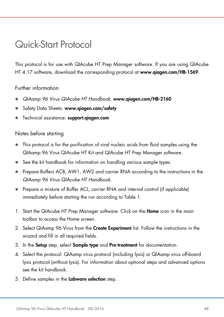## <span id="page-47-0"></span>Quick-Start Protocol

This protocol is for use with QIAcube HT Prep Manager software. If you are using QIAcube HT 4.17 software, download the corresponding protocol at www.qiagen.com/HB-1569.

#### Further information

- *QIAamp 96 Virus QIAcube HT Handbook:* www.qiagen.com/HB-2160
- Safety Data Sheets: www.qiagen.com/safety
- Technical assistance: support.aiagen.com

#### Notes before starting

- This protocol is for the purification of viral nucleic acids from fluid samples using the QIAamp 96 Virus QIAcube HT Kit and QIAcube HT Prep Manager software.
- See the kit handbook for information on handling various sample types.
- Prepare Buffers ACB, AW1, AW2 and carrier RNA according to the instructions in the *QIAamp 96 Virus QIAcube HT Handbook*.
- Prepare a mixture of Buffer ACL, carrier RNA and internal control (if applicable) immediately before starting the run according to Table 1.
- 1. Start the QIAcube HT Prep Manager software. Click on the Home icon in the main toolbar to access the Home screen.
- 2. Select QIAamp 96 Virus from the **Create Experiment** list. Follow the instructions in the wizard and fill in all required fields.
- 3. In the Setup step, select Sample type and Pre-treatment for documentation.
- 4. Select the protocol: QIAamp virus protocol (including lysis) or QIAamp virus off-board lysis protocol (without lysis). For information about optional steps and advanced options see the kit handbook.
- 5. Define samples in the Labware selection step.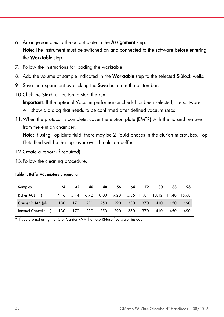- 6. Arrange samples to the output plate in the Assignment step. Note: The instrument must be switched on and connected to the software before entering the **Worktable** step.
- 7. Follow the instructions for loading the worktable.
- 8. Add the volume of sample indicated in the Worktable step to the selected S-Block wells.
- 9. Save the experiment by clicking the **Save** button in the button bar.
- 10. Click the **Start** run button to start the run.

Important: If the optional Vacuum performance check has been selected, the software will show a dialog that needs to be confirmed after defined vacuum steps.

11.When the protocol is complete, cover the elution plate (EMTR) with the lid and remove it from the elution chamber.

Note: If using Top Elute fluid, there may be 2 liquid phases in the elution microtubes. Top Elute fluid will be the top layer over the elution buffer.

- 12.Create a report (if required).
- 13.Follow the cleaning procedure.

| Samples                                    | 24  | 32                                                     | 40  | 48      | 56 | 64  | 72          | 80  | 88  | 96  |
|--------------------------------------------|-----|--------------------------------------------------------|-----|---------|----|-----|-------------|-----|-----|-----|
| Buffer ACL (ml)                            |     | 4.16 5.44 6.72 8.00 9.28 10.56 11.84 13.12 14.40 15.68 |     |         |    |     |             |     |     |     |
| Carrier RNA* $(\mu$                        | 130 | 170                                                    | 210 | 250 290 |    |     | 330 370 410 |     | 450 | 490 |
| Internal Control* (µl) 130 170 210 250 290 |     |                                                        |     |         |    | 330 | 370         | 410 | 450 | 490 |

#### Table 1. Buffer ACL mixture preparation.

\* If you are not using the IC or Carrier RNA then use RNase-free water instead.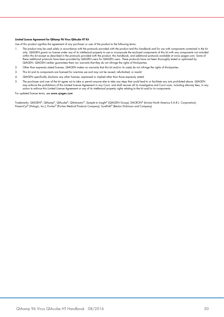#### Limited License Agreement for QIAamp 96 Virus QIAcube HT Kit

Use of this product signifies the agreement of any purchaser or user of the product to the following terms:

- The product may be used solely in accordance with the protocols provided with the product and this handbook and tor use with components contained in the kit (15)<br>only. QIAGEN grants no license under any of its intellectual within this kit except as described in the protocols provided with the product, this handbook, and additional protocols available at www.qiagen.com. Some of these additional protocols have been provided by QIAGEN users for QIAGEN users. These protocols have not been thoroughly tested or optimized by QIAGEN. QIAGEN neither guarantees them nor warrants that they do not infringe the rights of third-parties.
- 2. Other than expressly stated licenses, QIAGEN makes no warranty that this kit and/or its use(s) do not infringe the rights of third-parties.
- 3. This kit and its components are licensed for one-time use and may not be reused, refurbished, or resold.
- 4. QIAGEN specifically disclaims any other licenses, expressed or implied other than those expressly stated.
- 5. The purchaser and user of the kit agree not to take or permit anyone else to take any steps that could lead to or facilitate any acts prohibited above. QIAGEN may enforce the prohibitions of this Limited License Agreement in any Court, and shall recover all its investigative and Court costs, including attorney fees, in any action to enforce this Limited License Agreement or any of its intellectual property rights relating to the kit and/or its components.

#### For updated license terms, se[e www.qiagen.com.](http://www.qiagen.com/)

Trademarks: QIAGEN®, QIAamp®, QIAcube®, QIAxtractor®, Sample to Insight® (QIAGEN Group); DACRON® (Invista North America S.A.R.L. Corporation); PreservCyt® (Hologic, Inc.); Puritan® (Puritan Medical Products Company); SurePath® (Becton Dickinson and Company).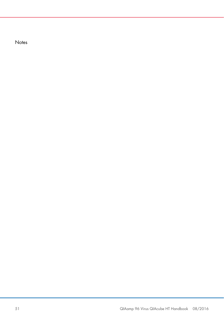**Notes**